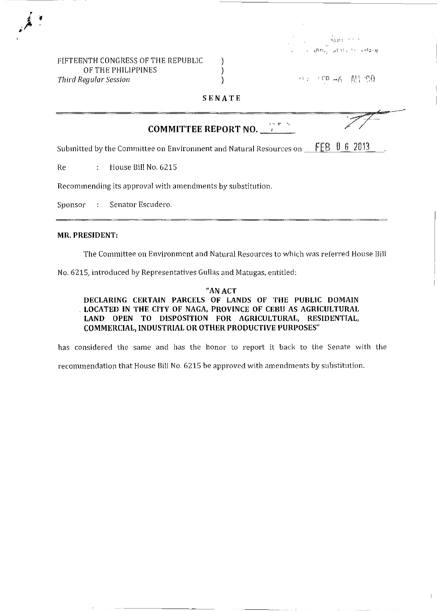| FIFTEENTH CONGRESS OF THE REPUBLIC |  |
|------------------------------------|--|
| OF THE PHILIPPINES                 |  |
| Third Regular Session              |  |

 $\leftrightarrow \circ \circ \text{up} = \text{S} \quad \text{M1-90}$ 

 $\mathcal{L}$ 

**SENATE** 

|                                                            | <b>COMMITTEE REPORT NO.</b> $\leftarrow$                           |                      |  |
|------------------------------------------------------------|--------------------------------------------------------------------|----------------------|--|
|                                                            | Submitted by the Committee on Environment and Natural Resources on | $0\,6\,2013$<br>FEB. |  |
| Re<br>$\mathcal{L}$                                        | House Bill No. 6215                                                |                      |  |
| Recommending its approval with amendments by substitution. |                                                                    |                      |  |
|                                                            | Sponsor : Senator Escudero.                                        |                      |  |
|                                                            |                                                                    |                      |  |

#### **MR. PRESIDENT:**

The Committee on Environment and Natural Resources to which was referred House Bill

No. 6215, introduced by Representatives Gullas and Matugas, entitled:

"AN ACT **DECLARING CERTAIN PARCELS OF LANDS OF THE PUBLIC DOMAIN**  . **LOCATED IN THE CITY OF NAGA, PROVINCE OF CEBU AS AGRICULTURAL LAND OPEN TO DISPOSITION FOR AGRICULTURAL, RESIDENTIAL, COMMERCIAL/INDUSTRIAL OR OTHER PRODUCTIVE PURPOSES"** 

has considered the same and has the honor to report it back to the Senate with the recommendation that House Bill No. 6215 be approved with amendments by substitution.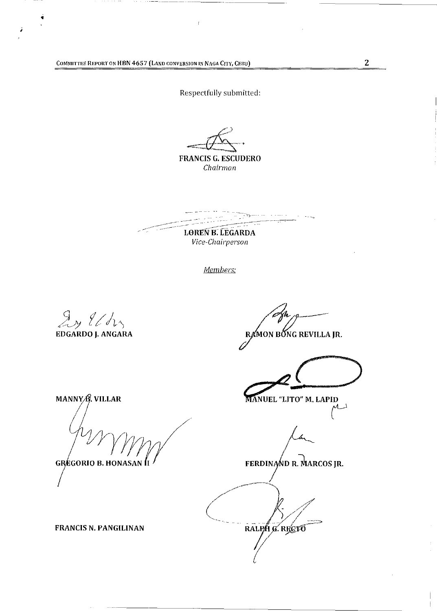COMMITTEE REPORT ON HBN 4657 (LAND CONVERSION IN NAGA CITY, CEBU) 2

Respectfully submitted:

### FRANCIS G. ESCUDERO *Chairman*

 $\mathcal{C}$  . The process of  $\mathcal{C}$ المعاملين أر ------~~~- LOREN B. LEGARDA

*Vice-Chairperson* 

*Members:* 

J~ 1//1,)

 $\frac{1}{\lambda}$ 

EDGARDO J. ANGARA

MON BŐNG REVILLA JR.

MANUEL "LITO" M. LAPID  $\sim$ 

FERDINAND R. MARCOS JR.

 $\mathbf{I}$ 

RALPH G. RECTO

MANNYA, VILLAR

**GRÉGORIO B. HONASAN II** 

FRANCIS N. PANGILINAN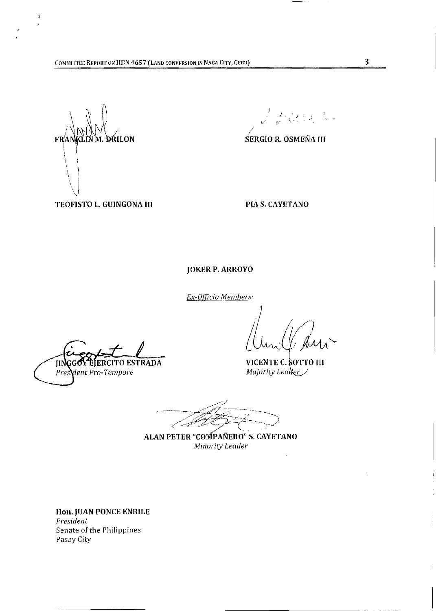$\lambda$ why FRANKLIN M. DRILON  $\vert \ \ \ \vert$ ի<br>1  $\mathfrak{i}$  $\setminus$  $\bigvee$ 

 $\sqrt{\frac{1}{\varphi}}\sqrt{\zeta_1^2+\zeta_2^2+\zeta_3^2}$ 

**SERGIO R. OSMEÑA III** 

TEOFISTO L. GUiNGONA III

PIA S. CAYETANO

JOKER P. ARROYO

*Ex-OlJicio Members:* 

VICENTE C. SOTTO III Majority Leader

ALAN PETER "COMPAÑERO" S. CAYETANO Minority Leader

Hon. JUAN PONCE ENRILE *President*  Senate of the Philippines Pasay City

**GGOY EJERCITO ESTRADA** JIN President Pro-Tempore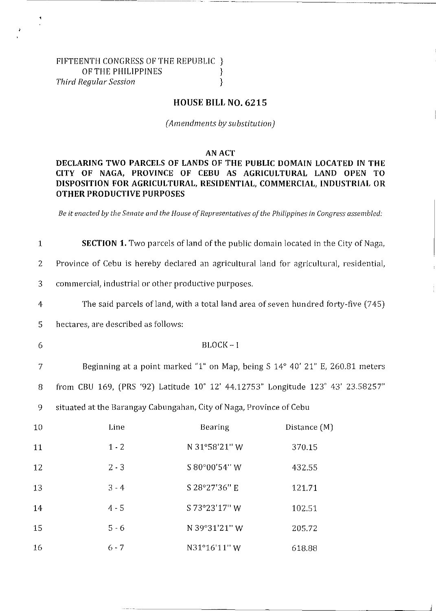## FIFTEENTH CONGRESS OF THE REPUBLIC } OF THE PHILIPPINES  $\}$ *Third Regular Session* }

## **HOUSE BILL NO. 6215**

*(Amendments by substitution)* 

#### AN ACT

# **DECLARING TWO PARCELS OF LANDS OF THE PUBLIC DOMAIN LOCATED IN THE CITY OF NAGA, PROVINCE OF CEBU AS AGRICULTURAL LAND OPEN TO DISPOSITION FOR AGRICULTURAL, RESIDENTIAL, COMMERCIAL, INDUSTRIAL OR OTHER PRODUCTIVE PURPOSES**

*Be it enacted by the Senate and the House of Representatives of the Philippines in Congress assembled:* 

1 **SECTION 1.** Two parcels ofland of the public domain located in the City of Naga,

2 Province of Cebu is hereby declared an agricultural land for agricultural, residential,

3 commercial, industrial or other productive purposes.

4 The said parcels of land, with a total land area of seven hundred forty-five (745)

5 hectares, are described as follows:

#### 6 BLOCK-I

7 Beginning at a point marked "1" on Map, being S 14° 40' 21" E, 260.81 meters 8 from CBU 169, (PRS '92) Latitude 10° 12' 44.12753" Longitude 123° 43' 23.58257"

9 situated at the Barangay Cabungahan, City of Naga, Province of Cebu

| 10 | Line    | <b>Bearing</b> | Distance $(M)$ |
|----|---------|----------------|----------------|
| 11 | $1 - 2$ | N 31°58'21" W  | 370.15         |
| 12 | $2 - 3$ | S 80°00'54" W  | 432.55         |
| 13 | $3 - 4$ | S 28°27'36" E  | 121.71         |
| 14 | $4 - 5$ | S 73°23'17" W  | 102.51         |
| 15 | $5 - 6$ | N 39°31'21" W  | 205.72         |
| 16 | $6 - 7$ | N31°16'11"W    | 618.88         |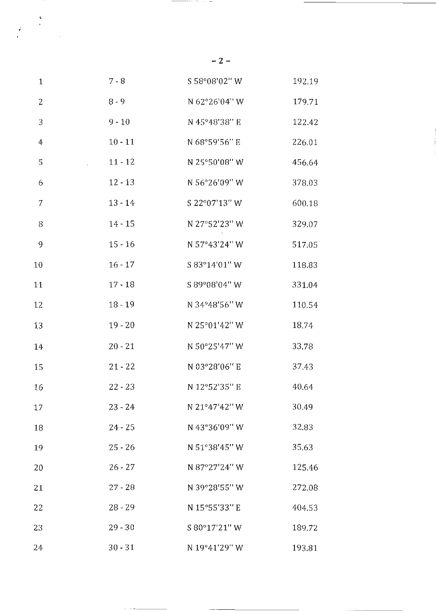| $\mathbf{1}$         | $7 - 8$   | S 58°08'02" W | 192.19 |
|----------------------|-----------|---------------|--------|
| $\overline{2}$       | $8 - 9$   | N 62°26'04" W | 179.71 |
| $\sqrt{3}$           | $9 - 10$  | N 45°48'38" E | 122 42 |
| $\boldsymbol{4}$     | $10 - 11$ | N 68°59'56" E | 226.01 |
| 5<br>$\sim 10^{-11}$ | $11 - 12$ | N 25°50'08" W | 456.64 |
| 6                    | $12 - 13$ | N 56°26'09" W | 378.03 |
| $\overline{7}$       | $13 - 14$ | S 22°07'13" W | 600.18 |
| 8                    | $14 - 15$ | N 27°52'23" W | 329.07 |
| 9                    | $15 - 16$ | N 57°43'24" W | 517.05 |
| 10                   | $16 - 17$ | S 83°14'01" W | 118.83 |
| 11                   | $17 - 18$ | S 89°08'04" W | 331.04 |
| 12                   | $18 - 19$ | N 34°48'56" W | 110.54 |
| 13                   | $19 - 20$ | N 25°01'42" W | 18.74  |
| 14                   | $20 - 21$ | N 50°25'47" W | 33.78  |
| 15                   | $21 - 22$ | N 03°28'06" E | 37.43  |
| 16                   | $22 - 23$ | N 12°52'35" E | 40.64  |
| 17                   | $23 - 24$ | N 21°47'42" W | 30.49  |
| 18                   | $24 - 25$ | N 43°36'09" W | 32.83  |
| 19                   | $25 - 26$ | N 51°38'45" W | 35.63  |
| 20                   | $26 - 27$ | N 87°27'24" W | 125.46 |
| 21                   | $27 - 28$ | N 39°28'55" W | 272.08 |
| 22                   | $28 - 29$ | N 15°55'33" E | 404.53 |
| 23                   | $29 - 30$ | S 80°17'21" W | 189.72 |
| 24                   | $30 - 31$ | N 19°41'29" W | 193.81 |

**-2-**

 $\label{eq:2} \begin{array}{c} \mathbf{x} \\ \mathbf{y} \\ \mathbf{z} \\ \mathbf{y} \end{array}$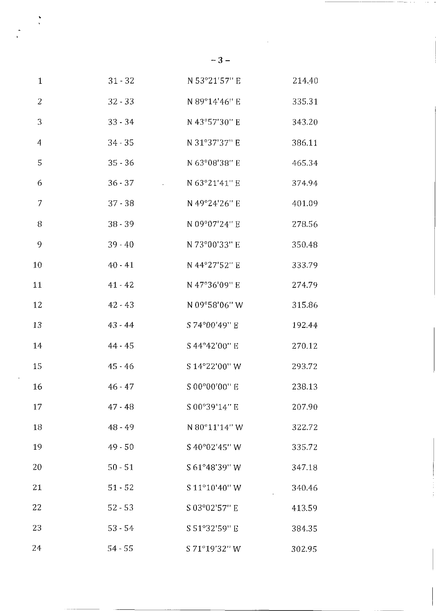| $\mathbf{1}$ | $31 - 32$ | N 53°21'57" E                                                                                        | 214.40 |
|--------------|-----------|------------------------------------------------------------------------------------------------------|--------|
| $\sqrt{2}$   | $32 - 33$ | N 89°14'46" E                                                                                        | 335.31 |
| 3            | $33 - 34$ | N 43°57'30" E                                                                                        | 343.20 |
| 4            | $34 - 35$ | N 31°37'37" E                                                                                        | 386.11 |
| 5            | $35 - 36$ | N 63°08'38" E                                                                                        | 465.34 |
| 6            | $36 - 37$ | N 63°21'41" E<br>$\mathcal{L}^{\text{max}}_{\text{max}}$ and $\mathcal{L}^{\text{max}}_{\text{max}}$ | 374.94 |
| 7            | $37 - 38$ | N 49°24'26" E                                                                                        | 401.09 |
| $\, 8$       | $38 - 39$ | N 09°07'24" E                                                                                        | 278.56 |
| 9            | $39 - 40$ | N 73°00'33" E                                                                                        | 350.48 |
| 10           | $40 - 41$ | N 44°27'52" E                                                                                        | 333.79 |
| 11           | $41 - 42$ | N 47°36'09" E                                                                                        | 274.79 |
| 12           | $42 - 43$ | N 09°58'06" W                                                                                        | 315.86 |
| 13           | 43 - 44   | S 74°00'49" E                                                                                        | 192.44 |
| 14           | $44 - 45$ | S 44°42'00" E                                                                                        | 270.12 |
| 15           | $45 - 46$ | S 14°22'00" W                                                                                        | 293.72 |
| 16           | $46 - 47$ | S 00°00'00" E                                                                                        | 238.13 |
| 17           | $47 - 48$ | S 00°39'14" E                                                                                        | 207.90 |
| 18           | $48 - 49$ | N 80°11'14" W                                                                                        | 322.72 |
| 19           | $49 - 50$ | S 40°02'45" W                                                                                        | 335.72 |
| 20           | $50 - 51$ | S 61°48'39" W                                                                                        | 347.18 |
| 21           | $51 - 52$ | S 11°10'40" W                                                                                        | 340.46 |
| 22           | $52 - 53$ | S 03°02'57" E                                                                                        | 413.59 |
| 23           | $53 - 54$ | S 51°32'59" E                                                                                        | 384.35 |
| 24           | $54 - 55$ | S 71°19'32" W                                                                                        | 302.95 |

-3-

 $\sim$   $\alpha$ 

 $\ddot{\cdot}$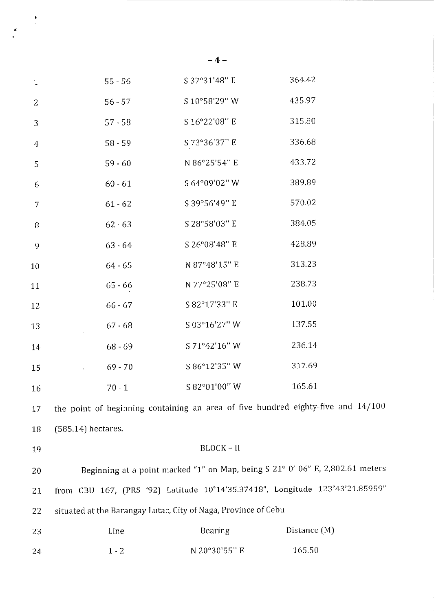| $\mathbf{1}$   | $55 - 56$                                                      | S 37°31'48" E | 364.42                                                                           |
|----------------|----------------------------------------------------------------|---------------|----------------------------------------------------------------------------------|
| 2              | $56 - 57$                                                      | S 10°58'29" W | 435.97                                                                           |
| 3              | $57 - 58$                                                      | S 16°22'08" E | 315.80                                                                           |
| $\overline{4}$ | $58 - 59$                                                      | S 73°36'37" E | 336.68                                                                           |
| 5              | $59 - 60$                                                      | N 86°25'54" E | 433.72                                                                           |
| 6              | $60 - 61$                                                      | S 64°09'02" W | 389.89                                                                           |
| 7              | $61 - 62$                                                      | S 39°56'49" E | 570.02                                                                           |
| 8              | $62 - 63$                                                      | S 28°58'03" E | 384.05                                                                           |
| 9              | $63 - 64$                                                      | S 26°08'48" E | 428.89                                                                           |
| $10\,$         | $64 - 65$                                                      | N 87°48'15" E | 313.23                                                                           |
| 11             | $65 - 66$                                                      | N 77°25'08" E | 238.73                                                                           |
| 12             | $66 - 67$                                                      | S 82°17'33" E | 101.00                                                                           |
| 13             | $67 - 68$                                                      | S 03°16'27" W | 137.55                                                                           |
| 14             | $68 - 69$                                                      | S 71°42'16" W | 236.14                                                                           |
| 15             | $69 - 70$<br>$\sim 100$ km s $^{-1}$                           | S 86°12'35" W | 317.69                                                                           |
| 16             | $70 - 1$                                                       | S 82°01'00" W | 165.61                                                                           |
| 17             |                                                                |               | the point of beginning containing an area of five hundred eighty-five and 14/100 |
| 18             | $(585.14)$ hectares.                                           |               |                                                                                  |
| 19             |                                                                | $BLOCK - II$  |                                                                                  |
| 20             |                                                                |               | Beginning at a point marked "1" on Map, being S 21° 0' 06" E, 2,802.61 meters    |
| 21             |                                                                |               | from CBU 167, (PRS '92) Latitude 10°14'35.37418", Longitude 123°43'21.85959"     |
| 22             | situated at the Barangay Lutac, City of Naga, Province of Cebu |               |                                                                                  |
| 23             | Line                                                           | Bearing       | Distance (M)                                                                     |
| 24             | $1 - 2$                                                        | N 20°30'55" E | 165.50                                                                           |

**-4-**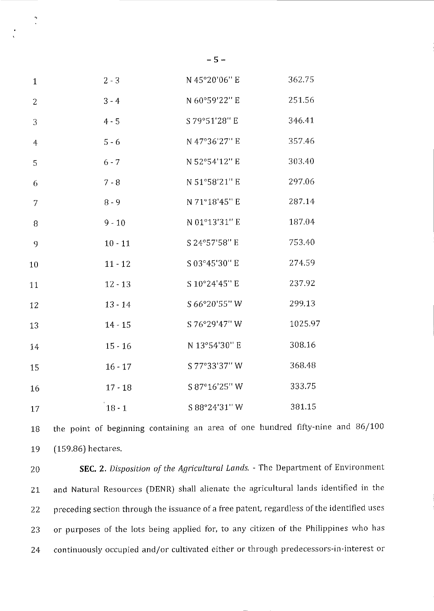| $\mathbf{1}$   | $2 - 3$   | N 45°20'06" E | 362.75  |
|----------------|-----------|---------------|---------|
| $\overline{2}$ | $3 - 4$   | N 60°59'22" E | 251.56  |
| 3              | $4 - 5$   | S 79°51'28" E | 346.41  |
| $\overline{4}$ | $5 - 6$   | N 47°36'27" E | 357.46  |
| 5              | $6 - 7$   | N 52°54'12" E | 303.40  |
| 6              | $7 - 8$   | N 51°58'21" E | 297.06  |
| $\overline{7}$ | $8 - 9$   | N 71°18'45" E | 287.14  |
| 8              | $9 - 10$  | N 01°13'31" E | 187.04  |
| 9              | $10 - 11$ | S 24°57'58" E | 753.40  |
| 10             | $11 - 12$ | S 03°45'30" E | 274.59  |
| 11             | $12 - 13$ | S 10°24'45" E | 237.92  |
| 12             | $13 - 14$ | S 66°20'55" W | 299.13  |
| 13             | $14 - 15$ | S 76°29'47" W | 1025.97 |
| 14             | $15 - 16$ | N 13°54'30" E | 308.16  |
| 15             | $16 - 17$ | S 77°33'37" W | 368.48  |
| 16             | $17 - 18$ | S 87°16'25" W | 333.75  |
| 17             | $18 - 1$  | S 88°24'31" W | 381.15  |

 $\ddot{\cdot}$ 

18 19 the point of beginning containing an area of one hundred fifty-nine and 86/100 (159.86) hectares.

20 **SEC.** 2. *Disposition of the Agricultural Lands.* - The Department of Environment 21 and Natural Resources (DENR) shall alienate the agricultural lands identified in the 22 preceding section through the issuance of a free patent, regardless of the identified uses 23 or purposes of the lots being applied for, to any citizen of the Philippines who has 24 continuously occupied and/or cultivated either or through predecessors-in-interest or

**-5-**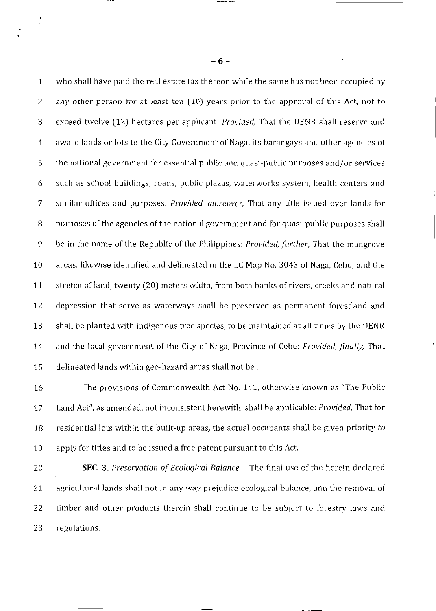1 who shall have paid the real estate tax thereon while the same has not been occupied by 2 any other person for at least ten (10) years prior to the approval of this Act, not to 3 exceed twelve (12) hectares per applicant: *Provided,* That the DENR shall reserve and 4 award lands or lots to the City Government of Naga, its barangays and other agencies of 5 the national government for essential public and quasi-public purposes and/or services 6 such as school buildings, roads, public plazas, waterworks system, health centers and 7 similar offices and purposes: *Provided, moreover,* That any title issued over lands for 8 purposes of the agencies of the national government and for quasi-public purposes shall 9 be in the name of the Republic of the Philippines: *Provided, further,* That the mangrove 10 areas, likewise identified and delineated in the LC Map No. 3048 of Naga, Cebu, and the 11 stretch ofland, twenty (20) meters width, from both banks of rivers, creeks and natural 12 depression that serve as waterways shall be preserved as permanent forestland and 13 shall be planted with indigenous tree species, to be maintained at all times by the DENR 14 and the local government of the City of Naga, Province of Cebu: *Provided, finally,* That 15 delineated lands within geo-hazard areas shall not be.

16 The provisions of Commonwealth Act No. 141, otherwise known as "The Public 17 Land Act", as amended, not inconsistent herewith, shall be applicable: *Provided,* That for 18 residential lots within the built-up areas, the actual occupants shall be given priority *to*  19 apply for titles and to be issued a free patent pursuant to this Act.

20 SEC. 3. *Preservation of Ecological Balance.* - The final use of the herein declared 21 agricultural lands shall not in any way prejudice ecological balance, and the removal of 22 timber and other products therein shall continue to be subject to forestry laws and 23 regulations.

-6-